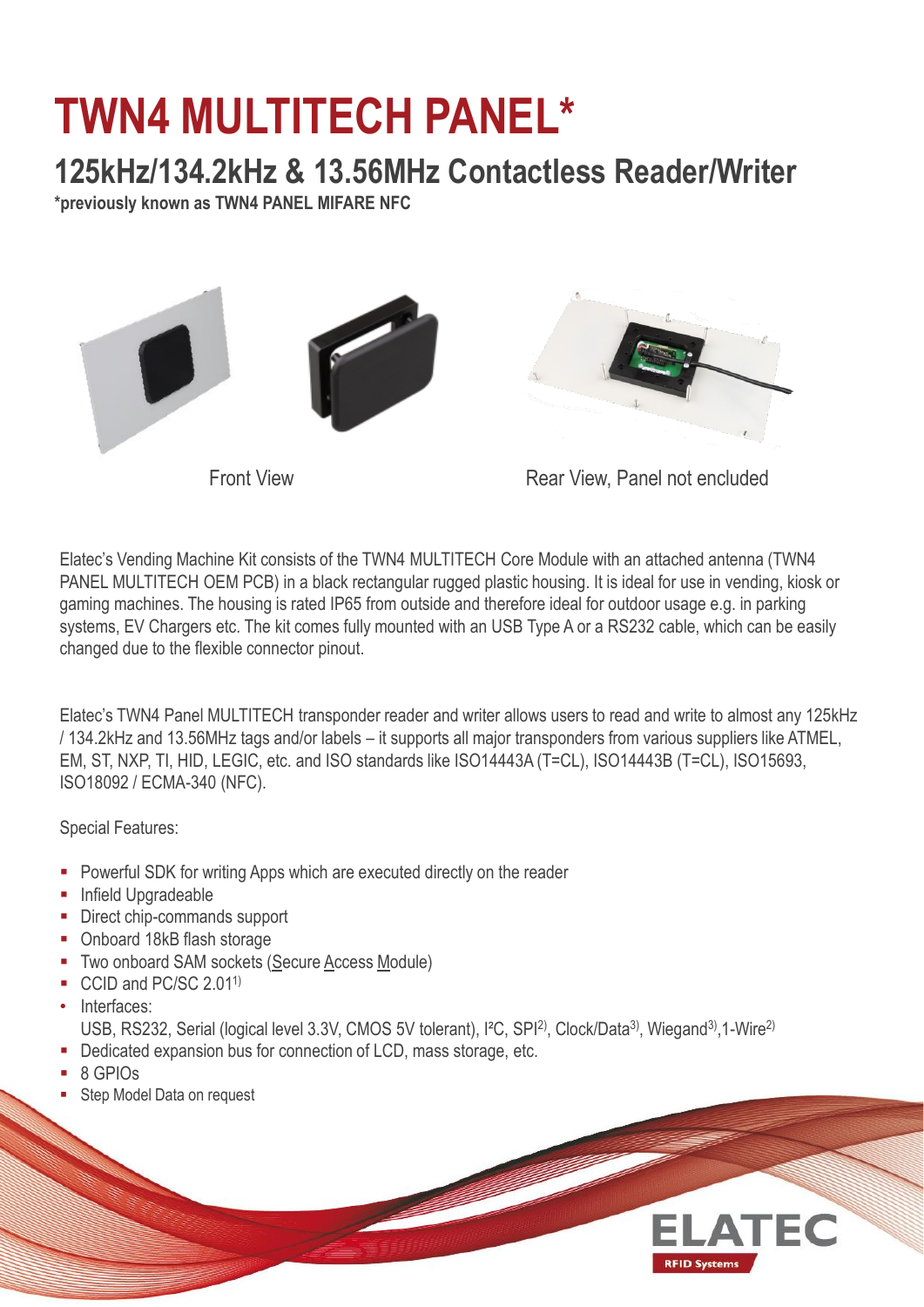## **TWN4 MULTITECH PANEL\***

## **125kHz/134.2kHz & 13.56MHz Contactless Reader/Writer**

**\*previously known as TWN4 PANEL MIFARE NFC**



Front View **Rear View, Panel not encluded** 

Elatec's Vending Machine Kit consists of the TWN4 MULTITECH Core Module with an attached antenna (TWN4 PANEL MULTITECH OEM PCB) in a black rectangular rugged plastic housing. It is ideal for use in vending, kiosk or gaming machines. The housing is rated IP65 from outside and therefore ideal for outdoor usage e.g. in parking systems, EV Chargers etc. The kit comes fully mounted with an USB Type A or a RS232 cable, which can be easily changed due to the flexible connector pinout.

Elatec's TWN4 Panel MULTITECH transponder reader and writer allows users to read and write to almost any 125kHz / 134.2kHz and 13.56MHz tags and/or labels – it supports all major transponders from various suppliers like ATMEL, EM, ST, NXP, TI, HID, LEGIC, etc. and ISO standards like ISO14443A (T=CL), ISO14443B (T=CL), ISO15693, ISO18092 / ECMA-340 (NFC).

Special Features:

- **Powerful SDK for writing Apps which are executed directly on the reader**
- **Infield Upgradeable**
- Direct chip-commands support
- Onboard 18kB flash storage
- **Two onboard SAM sockets (Secure Access Module)**
- CCID and PC/SC 2.01<sup>1)</sup>
- Interfaces:
- USB, RS232, Serial (logical level 3.3V, CMOS 5V tolerant), I<sup>2</sup>C, SPI<sup>2)</sup>, Clock/Data<sup>3)</sup>, Wiegand<sup>3)</sup>, 1-Wire<sup>2)</sup>
- Dedicated expansion bus for connection of LCD, mass storage, etc.
- 8 GPIOs
- **Step Model Data on request**